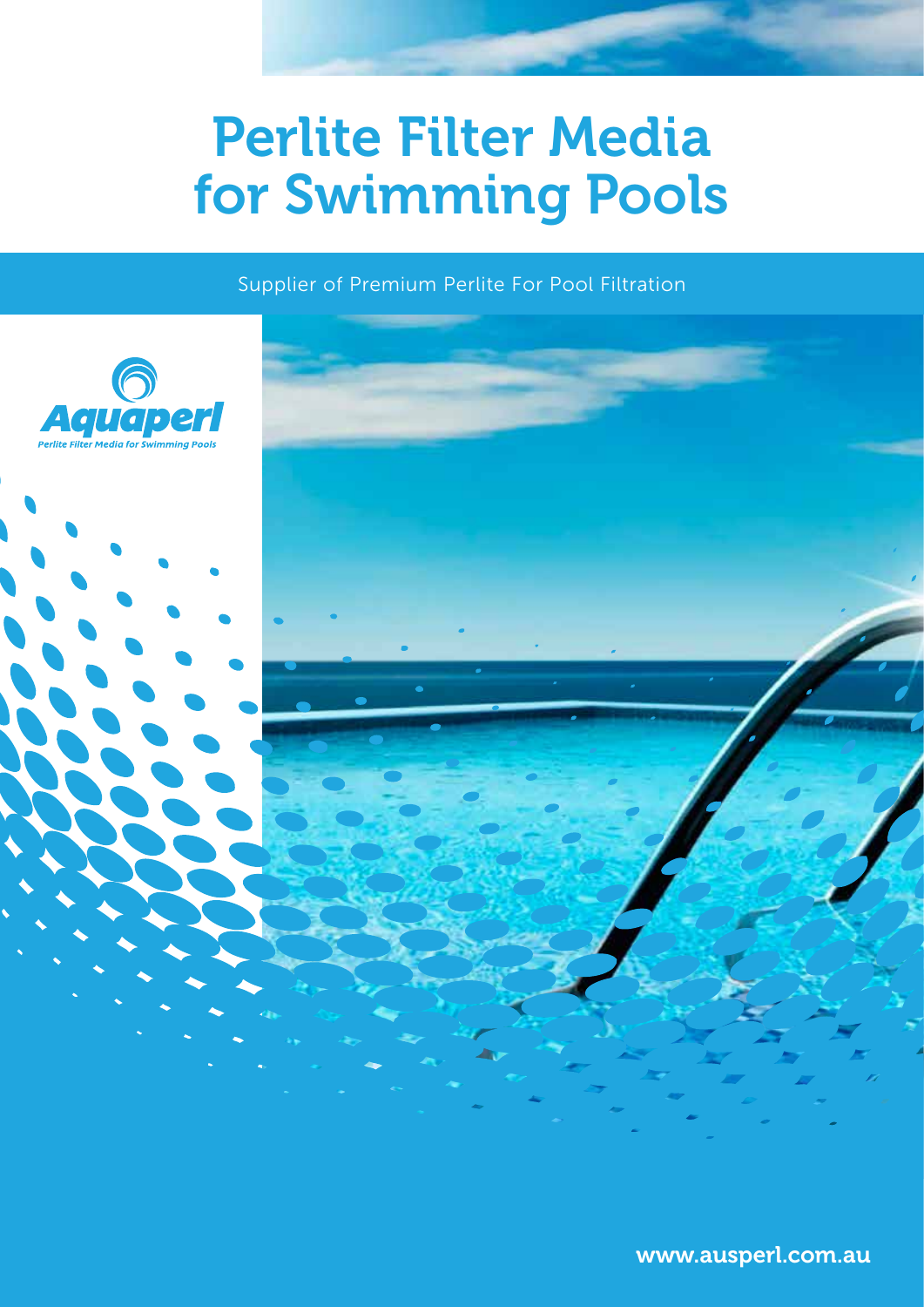# Perlite Filter Media for Swimming Pools

Supplier of Premium Perlite For Pool Filtration

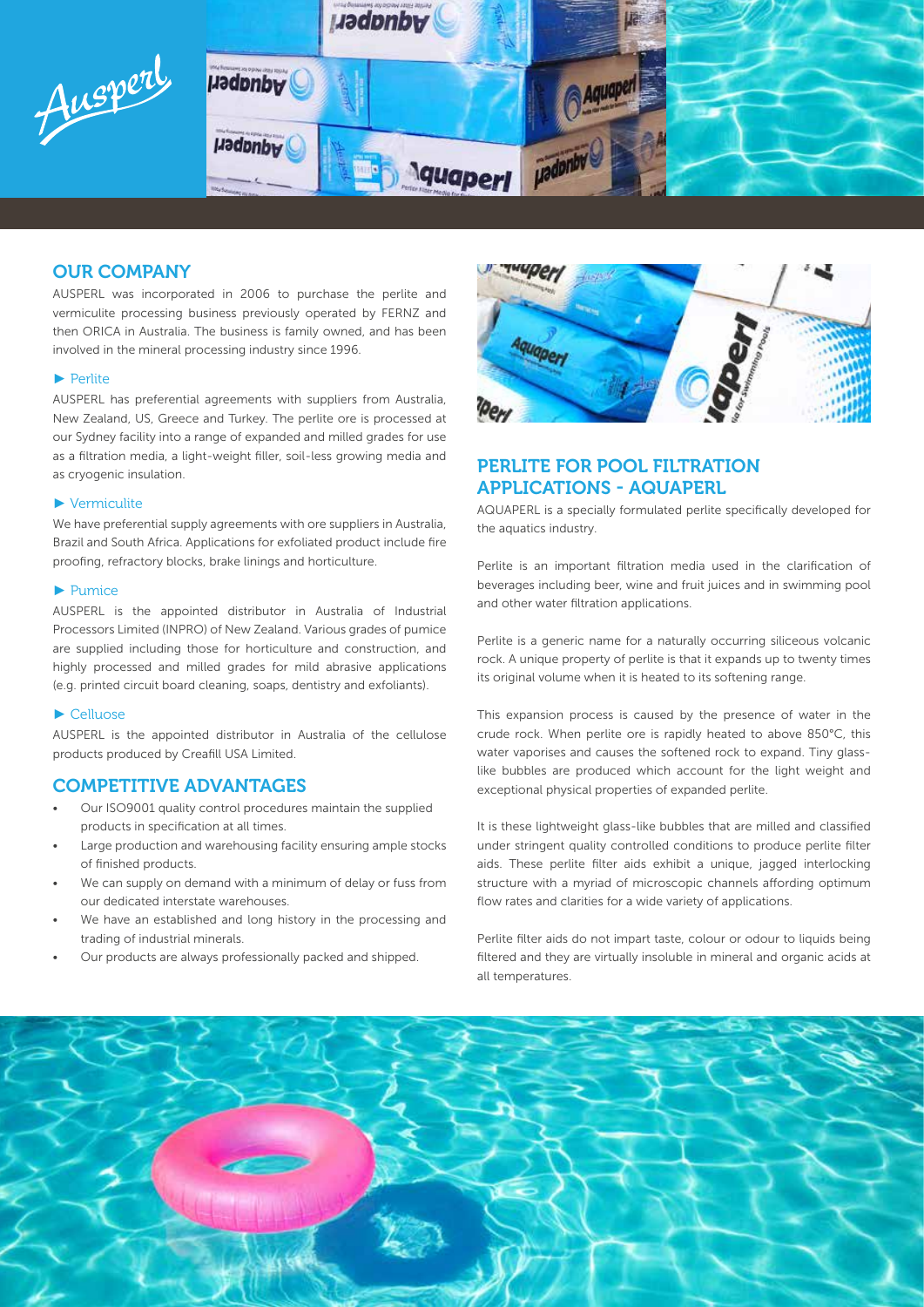

# OUR COMPANY

AUSPERL was incorporated in 2006 to purchase the perlite and vermiculite processing business previously operated by FERNZ and then ORICA in Australia. The business is family owned, and has been involved in the mineral processing industry since 1996.

#### ► Perlite

AUSPERL has preferential agreements with suppliers from Australia, New Zealand, US, Greece and Turkey. The perlite ore is processed at our Sydney facility into a range of expanded and milled grades for use as a filtration media, a light-weight filler, soil-less growing media and as cryogenic insulation.

#### ► Vermiculite

We have preferential supply agreements with ore suppliers in Australia. Brazil and South Africa. Applications for exfoliated product include fire proofing, refractory blocks, brake linings and horticulture.

#### ► Pumice

AUSPERL is the appointed distributor in Australia of Industrial Processors Limited (INPRO) of New Zealand. Various grades of pumice are supplied including those for horticulture and construction, and highly processed and milled grades for mild abrasive applications (e.g. printed circuit board cleaning, soaps, dentistry and exfoliants).

#### ► Celluose

AUSPERL is the appointed distributor in Australia of the cellulose products produced by Creafill USA Limited.

### COMPETITIVE ADVANTAGES

- Our ISO9001 quality control procedures maintain the supplied products in specification at all times.
- Large production and warehousing facility ensuring ample stocks of finished products.
- We can supply on demand with a minimum of delay or fuss from our dedicated interstate warehouses.
- We have an established and long history in the processing and trading of industrial minerals.
- Our products are always professionally packed and shipped.



# PERLITE FOR POOL FILTRATION APPLICATIONS - AQUAPERL

AQUAPERL is a specially formulated perlite specifically developed for the aquatics industry.

Perlite is an important filtration media used in the clarification of beverages including beer, wine and fruit juices and in swimming pool and other water filtration applications.

Perlite is a generic name for a naturally occurring siliceous volcanic rock. A unique property of perlite is that it expands up to twenty times its original volume when it is heated to its softening range.

This expansion process is caused by the presence of water in the crude rock. When perlite ore is rapidly heated to above 850°C, this water vaporises and causes the softened rock to expand. Tiny glasslike bubbles are produced which account for the light weight and exceptional physical properties of expanded perlite.

It is these lightweight glass-like bubbles that are milled and classified under stringent quality controlled conditions to produce perlite filter aids. These perlite filter aids exhibit a unique, jagged interlocking structure with a myriad of microscopic channels affording optimum flow rates and clarities for a wide variety of applications.

Perlite filter aids do not impart taste, colour or odour to liquids being filtered and they are virtually insoluble in mineral and organic acids at all temperatures.

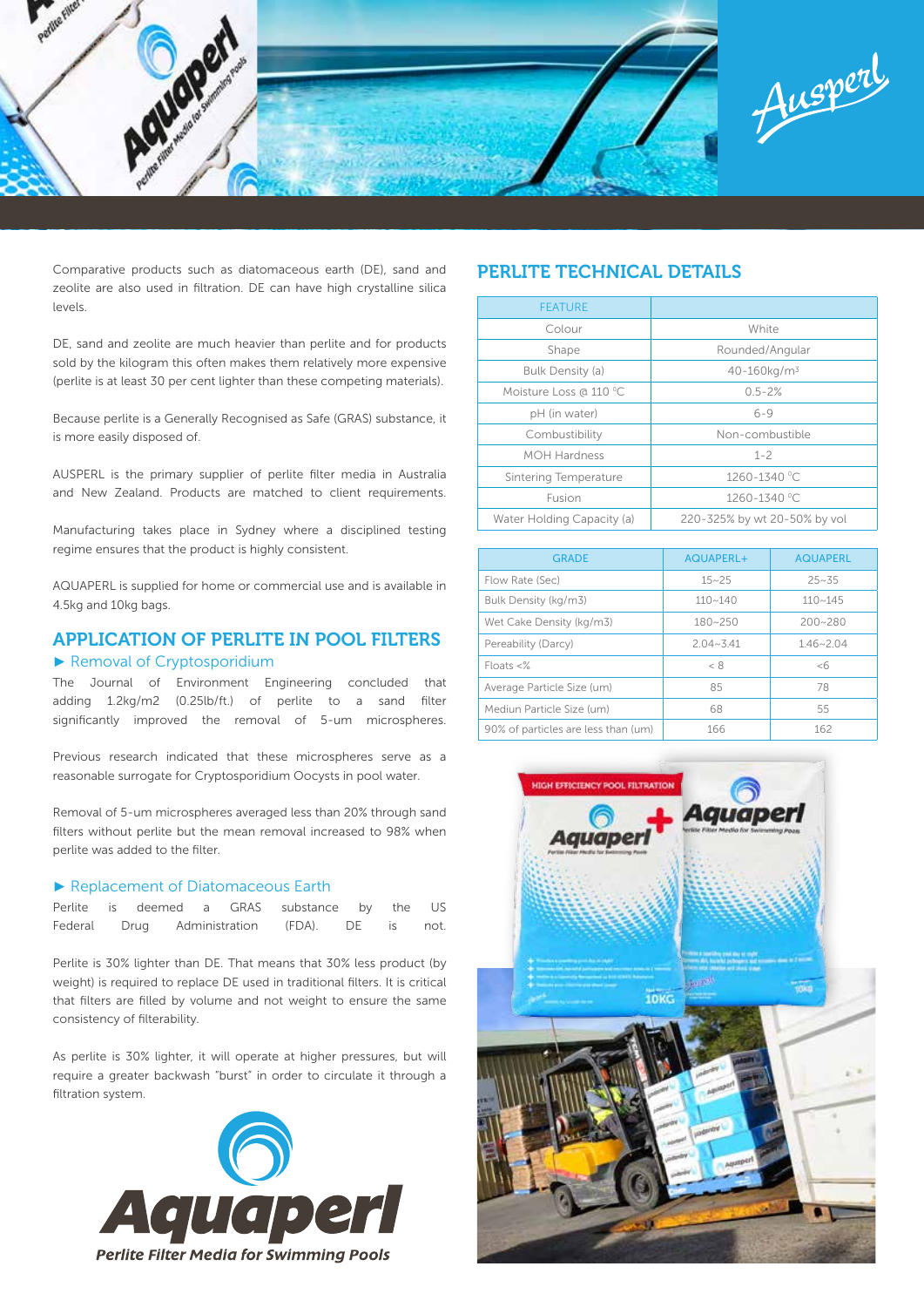

Comparative products such as diatomaceous earth (DE), sand and zeolite are also used in filtration. DE can have high crystalline silica levels.

DE, sand and zeolite are much heavier than perlite and for products sold by the kilogram this often makes them relatively more expensive (perlite is at least 30 per cent lighter than these competing materials).

Because perlite is a Generally Recognised as Safe (GRAS) substance, it is more easily disposed of.

AUSPERL is the primary supplier of perlite filter media in Australia and New Zealand. Products are matched to client requirements.

Manufacturing takes place in Sydney where a disciplined testing regime ensures that the product is highly consistent.

AQUAPERL is supplied for home or commercial use and is available in 4.5kg and 10kg bags.

# APPLICATION OF PERLITE IN POOL FILTERS

#### ► Removal of Cryptosporidium

The Journal of Environment Engineering concluded that adding 1.2kg/m2 (0.25lb/ft.) of perlite to a sand filter significantly improved the removal of 5-um microspheres.

Previous research indicated that these microspheres serve as a reasonable surrogate for Cryptosporidium Oocysts in pool water.

Removal of 5-um microspheres averaged less than 20% through sand filters without perlite but the mean removal increased to 98% when perlite was added to the filter.

#### ► Replacement of Diatomaceous Earth

|  |  |  | Perlite is deemed a GRAS substance by the US  |  |
|--|--|--|-----------------------------------------------|--|
|  |  |  | Federal Drug Administration (FDA). DE is not. |  |

Perlite is 30% lighter than DE. That means that 30% less product (by weight) is required to replace DE used in traditional filters. It is critical that filters are filled by volume and not weight to ensure the same consistency of filterability.

As perlite is 30% lighter, it will operate at higher pressures, but will require a greater backwash "burst" in order to circulate it through a filtration system.



# PERLITE TECHNICAL DETAILS

| <b>FEATURE</b>             |                              |  |  |
|----------------------------|------------------------------|--|--|
| Colour                     | White                        |  |  |
| Shape                      | Rounded/Angular              |  |  |
| Bulk Density (a)           | 40-160kg/m <sup>3</sup>      |  |  |
| Moisture Loss @ 110 °C     | $0.5 - 2%$                   |  |  |
| pH (in water)              | $6 - 9$                      |  |  |
| Combustibility             | Non-combustible              |  |  |
| <b>MOH Hardness</b>        | $1 - 2$                      |  |  |
| Sintering Temperature      | 1260-1340 °C                 |  |  |
| Fusion                     | 1260-1340 °C                 |  |  |
| Water Holding Capacity (a) | 220-325% by wt 20-50% by vol |  |  |

| <b>GRADE</b>                        | AQUAPERL+     | <b>AQUAPERL</b> |
|-------------------------------------|---------------|-----------------|
| Flow Rate (Sec)                     | $15 - 25$     | $25 - 35$       |
| Bulk Density (kg/m3)                | $110 - 140$   | $110 - 145$     |
| Wet Cake Density (kg/m3)            | $180 - 250$   | $200 - 280$     |
| Pereability (Darcy)                 | $2.04 - 3.41$ | $1.46 - 2.04$   |
| $Floats < ^{\%}$                    | < 8           | &5              |
| Average Particle Size (um)          | 85            | 78              |
| Mediun Particle Size (um)           | 68            | 55              |
| 90% of particles are less than (um) | 166           | 162             |